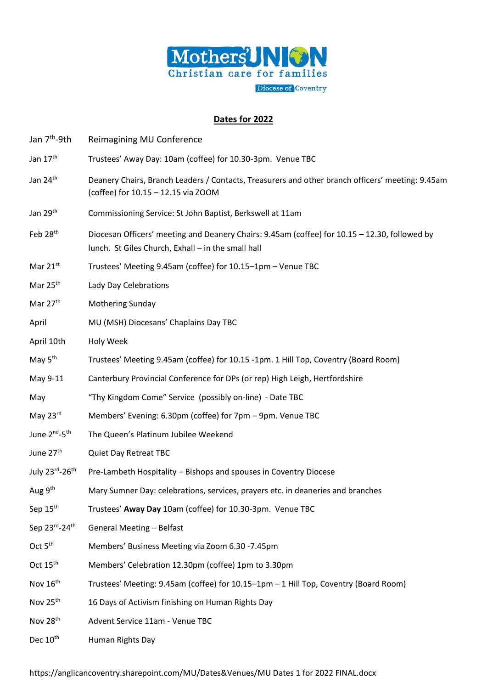

## **Dates for 2022**

| Jan 7 <sup>th</sup> -9th              | Reimagining MU Conference                                                                                                                           |
|---------------------------------------|-----------------------------------------------------------------------------------------------------------------------------------------------------|
| Jan 17 <sup>th</sup>                  | Trustees' Away Day: 10am (coffee) for 10.30-3pm. Venue TBC                                                                                          |
| Jan 24 <sup>th</sup>                  | Deanery Chairs, Branch Leaders / Contacts, Treasurers and other branch officers' meeting: 9.45am<br>(coffee) for 10.15 - 12.15 via ZOOM             |
| Jan 29 <sup>th</sup>                  | Commissioning Service: St John Baptist, Berkswell at 11am                                                                                           |
| Feb 28 <sup>th</sup>                  | Diocesan Officers' meeting and Deanery Chairs: 9.45am (coffee) for 10.15 - 12.30, followed by<br>lunch. St Giles Church, Exhall - in the small hall |
| Mar $21^{st}$                         | Trustees' Meeting 9.45am (coffee) for 10.15-1pm - Venue TBC                                                                                         |
| Mar 25 <sup>th</sup>                  | Lady Day Celebrations                                                                                                                               |
| Mar 27 <sup>th</sup>                  | <b>Mothering Sunday</b>                                                                                                                             |
| April                                 | MU (MSH) Diocesans' Chaplains Day TBC                                                                                                               |
| April 10th                            | Holy Week                                                                                                                                           |
| May 5 <sup>th</sup>                   | Trustees' Meeting 9.45am (coffee) for 10.15 -1pm. 1 Hill Top, Coventry (Board Room)                                                                 |
| May 9-11                              | Canterbury Provincial Conference for DPs (or rep) High Leigh, Hertfordshire                                                                         |
| May                                   | "Thy Kingdom Come" Service (possibly on-line) - Date TBC                                                                                            |
| May 23rd                              | Members' Evening: 6.30pm (coffee) for 7pm - 9pm. Venue TBC                                                                                          |
| June 2 <sup>nd</sup> -5 <sup>th</sup> | The Queen's Platinum Jubilee Weekend                                                                                                                |
| June 27 <sup>th</sup>                 | <b>Quiet Day Retreat TBC</b>                                                                                                                        |
| July 23rd-26th                        | Pre-Lambeth Hospitality - Bishops and spouses in Coventry Diocese                                                                                   |
| Aug 9 <sup>th</sup>                   | Mary Sumner Day: celebrations, services, prayers etc. in deaneries and branches                                                                     |
| Sep 15 <sup>th</sup>                  | Trustees' Away Day 10am (coffee) for 10.30-3pm. Venue TBC                                                                                           |
| Sep 23rd-24th                         | <b>General Meeting - Belfast</b>                                                                                                                    |
| Oct 5 <sup>th</sup>                   | Members' Business Meeting via Zoom 6.30 -7.45pm                                                                                                     |
| Oct $15th$                            | Members' Celebration 12.30pm (coffee) 1pm to 3.30pm                                                                                                 |
| Nov 16 <sup>th</sup>                  | Trustees' Meeting: 9.45am (coffee) for 10.15-1pm - 1 Hill Top, Coventry (Board Room)                                                                |

- Nov 25<sup>th</sup> 16 Days of Activism finishing on Human Rights Day
- Nov 28th Advent Service 11am Venue TBC
- Dec 10<sup>th</sup> Human Rights Day